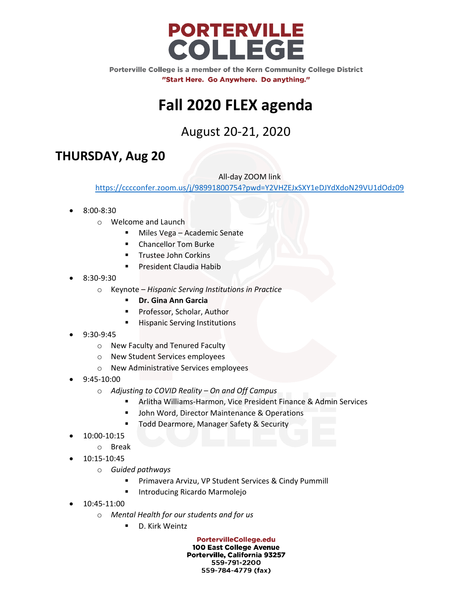

# **Fall 2020 FLEX agenda**

August 20-21, 2020

## **THURSDAY, Aug 20**

All-day ZOOM link

<https://cccconfer.zoom.us/j/98991800754?pwd=Y2VHZEJxSXY1eDJYdXdoN29VU1dOdz09>

- 8:00-8:30
	- o Welcome and Launch
		- **Miles Vega Academic Senate**
		- Chancellor Tom Burke
		- Trustee John Corkins
		- President Claudia Habib
- 8:30-9:30
	- o Keynote *Hispanic Serving Institutions in Practice*
		- **Dr. Gina Ann Garcia**
		- Professor, Scholar, Author
		- **Hispanic Serving Institutions**
- 9:30-9:45
	- o New Faculty and Tenured Faculty
	- o New Student Services employees
	- o New Administrative Services employees
- 9:45-10:00
	- o *Adjusting to COVID Reality – On and Off Campus* 
		- Arlitha Williams-Harmon, Vice President Finance & Admin Services
		- John Word, Director Maintenance & Operations
		- Todd Dearmore, Manager Safety & Security
- 10:00-10:15
	- o Break
- 10:15-10:45
	- o *Guided pathways*
		- **Primavera Arvizu, VP Student Services & Cindy Pummill**
		- Introducing Ricardo Marmolejo
- 10:45-11:00
	- o *Mental Health for our students and for us*
		- D. Kirk Weintz

**PortervilleCollege.edu** 100 East College Avenue Porterville, California 93257 559-791-2200 559-784-4779 (fax)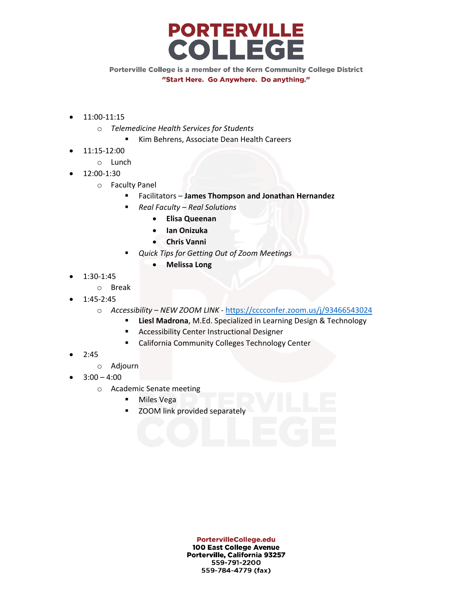

- 11:00-11:15
	- o *Telemedicine Health Services for Students*
		- Kim Behrens, Associate Dean Health Careers
	- 11:15-12:00
		- o Lunch
- 12:00-1:30
	- o Faculty Panel
		- Facilitators **James Thompson and Jonathan Hernandez**
		- *Real Faculty – Real Solutions*
			- **Elisa Queenan**
			- **Ian Onizuka**
			- **Chris Vanni**
			- *Quick Tips for Getting Out of Zoom Meetings*
				- **Melissa Long**
- 1:30-1:45
	- o Break
- 1:45-2:45
	- o *Accessibility – NEW ZOOM LINK*  <https://cccconfer.zoom.us/j/93466543024>
		- **Liesl Madrona**, M.Ed. Specialized in Learning Design & Technology
		- **Accessibility Center Instructional Designer**
		- **E** California Community Colleges Technology Center
- 2:45
	- o Adjourn
- $3:00 4:00$ 
	- o Academic Senate meeting
		- **Niles Vega**
		- ZOOM link provided separately

**PortervilleCollege.edu** 100 East College Avenue Porterville, California 93257 559-791-2200 559-784-4779 (fax)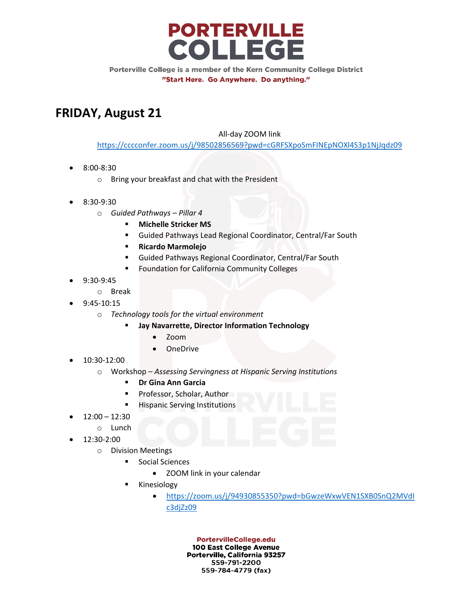

## **FRIDAY, August 21**

#### All-day ZOOM link

<https://cccconfer.zoom.us/j/98502856569?pwd=cGRFSXpoSmFINEpNOXl4S3p1NjJqdz09>

- 8:00-8:30
	- o Bring your breakfast and chat with the President
- 8:30-9:30
	- o *Guided Pathways – Pillar 4*
		- **Michelle Stricker MS**
		- Guided Pathways Lead Regional Coordinator, Central/Far South
		- **Ricardo Marmolejo**
		- Guided Pathways Regional Coordinator, Central/Far South
		- Foundation for California Community Colleges
- 9:30-9:45
	- o Break
- 9:45-10:15
	- o *Technology tools for the virtual environment*
		- **Jay Navarrette, Director Information Technology**
			- Zoom
			- OneDrive
- 10:30-12:00
	- o Workshop *Assessing Servingness at Hispanic Serving Institutions*
		- **Dr Gina Ann Garcia**
		- **Professor, Scholar, Author**
		- **Hispanic Serving Institutions**
- $12:00 12:30$ 
	- o Lunch
- 12:30-2:00
	- o Division Meetings
		- **Social Sciences** 
			- ZOOM link in your calendar
		- Kinesiology
			- [https://zoom.us/j/94930855350?pwd=bGwzeWxwVEN1SXB0SnQ2MVdI](https://zoom.us/j/94930855350?pwd=bGwzeWxwVEN1SXB0SnQ2MVdIc3djZz09) [c3djZz09](https://zoom.us/j/94930855350?pwd=bGwzeWxwVEN1SXB0SnQ2MVdIc3djZz09)

**PortervilleCollege.edu** 100 East College Avenue Porterville, California 93257 559-791-2200 559-784-4779 (fax)